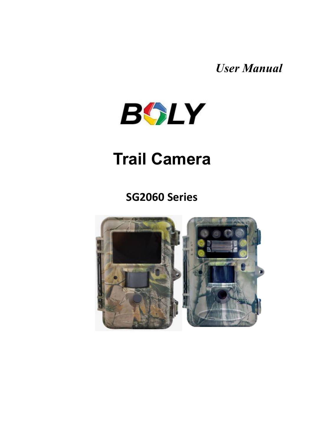*User Manual*



### **Trail Camera**

#### **SG2060 Series**

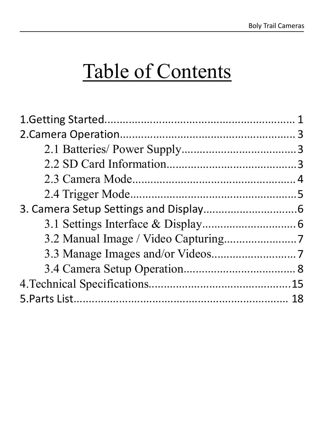# Table of Contents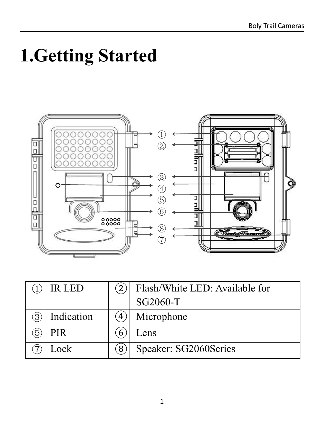# <span id="page-2-0"></span>**1.Getting Started**



|   | IR LED     |   | Flash/White LED: Available for |
|---|------------|---|--------------------------------|
|   |            |   | SG2060-T                       |
| 3 | Indication |   | Microphone                     |
| 3 | <b>PIR</b> |   | Lens                           |
|   | Lock       | 8 | Speaker: SG2060Series          |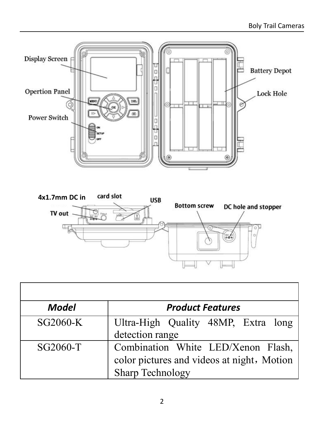



| Model    | <b>Product Features</b>                                                                              |
|----------|------------------------------------------------------------------------------------------------------|
| SG2060-K | Ultra-High Quality 48MP, Extra long<br>detection range                                               |
| SG2060-T | Combination White LED/Xenon Flash,<br>color pictures and videos at night, Motion<br>Sharp Technology |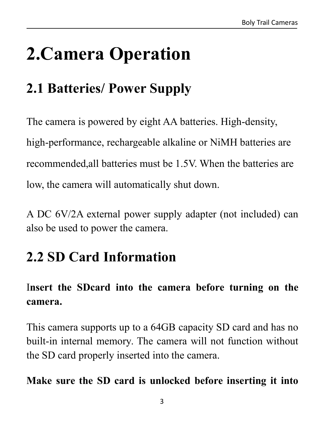# <span id="page-4-0"></span>**2.Camera Operation**

### <span id="page-4-1"></span>**2.1 Batteries/ Power Supply**

The camera is powered by eight AA batteries. High-density, high-performance, rechargeable alkaline or NiMH batteries are recommended,all batteries must be 1.5V. When the batteries are low, the camera will automatically shut down.

A DC 6V/2A external power supply adapter (not included) can also be used to power the camera.

### <span id="page-4-2"></span>**2.2 SD Card Information**

#### I**nsert the SDcard into the camera before turning on the camera.**

This camera supports up to a 64GB capacity SD card and has no built-in internal memory. The camera will not function without the SD card properly inserted into the camera.

#### **Make sure the SD card is unlocked before inserting it into**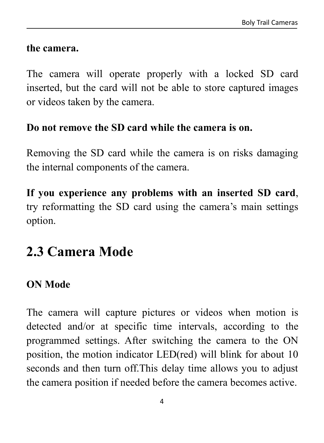#### **the camera.**

The camera will operate properly with a locked SD card inserted, but the card will not be able to store captured images or videos taken by the camera.

#### **Do not remove the SD card while the camera is on.**

Removing the SD card while the camera is on risks damaging the internal components of the camera.

**If you experience any problems with an inserted SD card**, try reformatting the SD card using the camera's main settings option.

### <span id="page-5-0"></span>**2.3 Camera Mode**

#### **ON Mode**

The camera will capture pictures or videos when motion is detected and/or at specific time intervals, according to the programmed settings. After switching the camera to the ON position, the motion indicator LED(red) will blink for about 10 seconds and then turn off.This delay time allows you to adjust the camera position if needed before the camera becomes active.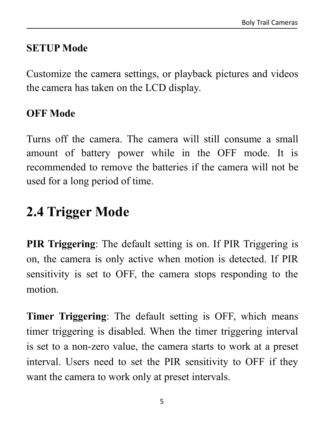#### **SETUP Mode**

Customize the camera settings, or playback pictures and videos the camera has taken on the LCD display.

#### **OFF Mode**

Turns off the camera.The camera will still consume a small amount of battery power while in the OFF mode. It is recommended to remove the batteries if the camera will not be used for a long period of time.

### <span id="page-6-0"></span>**2.4 Trigger Mode**

**PIR Triggering**: The default setting is on. If PIR Triggering is on, the camera is only active when motion is detected. If PIR sensitivity is set to OFF, the camera stops responding to the motion.

**Timer Triggering**: The default setting is OFF, which means timer triggering is disabled. When the timer triggering interval is set to a non-zero value, the camera starts to work at a preset interval. Users need to set the PIR sensitivity to OFF if they want the camera to work only at preset intervals.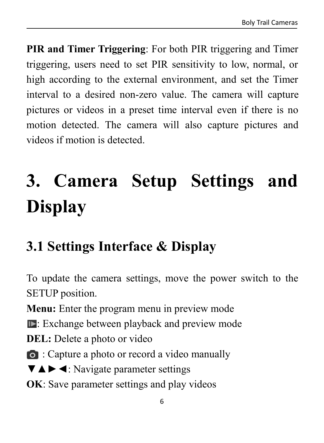**PIR and Timer Triggering**: For both PIR triggering and Timer triggering, users need to set PIR sensitivity to low, normal, or high according to the external environment, and set the Timer interval to a desired non-zero value. The camera will capture pictures or videos in a preset time interval even if there is no motion detected. The camera will also capture pictures and videos if motion is detected.

# <span id="page-7-0"></span>**3. Camera Setup Settings and Display**

### <span id="page-7-1"></span>**3.1 Settings Interface & Display**

To update the camera settings, move the power switch to the SETUP position.

**Menu:** Enter the program menu in preview mode

Exchange between playback and preview mode

**DEL:** Delete a photo or video

: Capture a photo or record a video manually

▼▲►◄: Navigate parameter settings

**OK**: Save parameter settings and play videos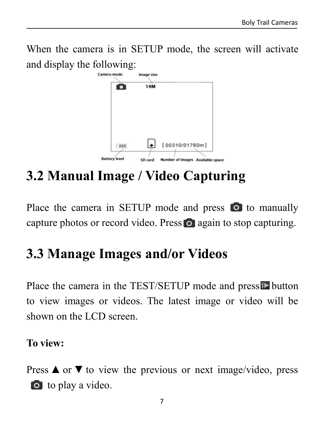When the camera is in SETUP mode, the screen will activate and display the following:



### <span id="page-8-0"></span>**3.2 Manual Image / Video Capturing**

Place the camera in SETUP mode and press  $\bullet$  to manually capture photos or record video. Press  $\bullet$  again to stop capturing.

### <span id="page-8-1"></span>**3.3 Manage Images and/or Videos**

Place the camera in the TEST/SETUP mode and press  $\blacksquare$  button to view images or videos. The latest image or video will be shown on the LCD screen.

#### **To view:**

Press  $\triangle$  or  $\nabla$  to view the previous or next image/video, press **o** to play a video.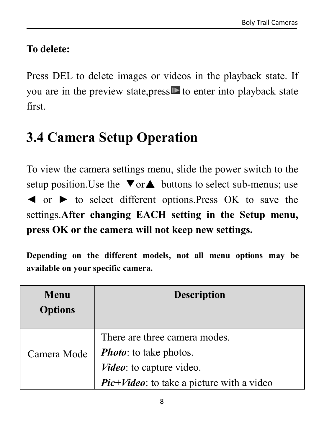#### **To delete:**

Press DEL to delete images or videos in the playback state. If you are in the preview state,  $pres \nightharpoonup$  to enter into playback state first.

### <span id="page-9-0"></span>**3.4 Camera Setup Operation**

To view the camera settings menu, slide the power switch to the setup position. Use the  $\blacktriangledown$  or  $\blacktriangle$  buttons to select sub-menus; use ◄ or ► to select different options.Press OK to save the settings.**After changing EACH setting in the Setup menu, press OK or the camera will not keep new settings.**

**Depending on the different models, not all menu options may be available on your specific camera.**

| Menu           | <b>Description</b>                        |
|----------------|-------------------------------------------|
| <b>Options</b> |                                           |
|                | There are three camera modes.             |
| Camera Mode    | <b><i>Photo:</i></b> to take photos.      |
|                | <i>Video</i> : to capture video.          |
|                | Pic+Video: to take a picture with a video |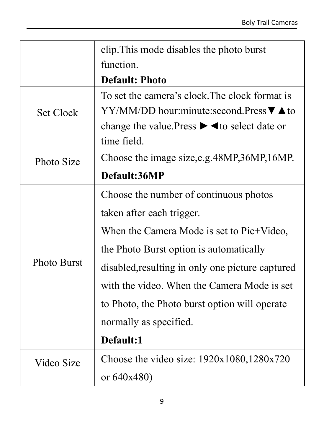|                  | clip. This mode disables the photo burst                                           |
|------------------|------------------------------------------------------------------------------------|
|                  | function.                                                                          |
|                  | <b>Default: Photo</b>                                                              |
|                  | To set the camera's clock. The clock format is                                     |
| <b>Set Clock</b> | $YY/MM/DD$ hour: minute: second. Press $\nabla \triangle$ to                       |
|                  | change the value. Press $\blacktriangleright \blacktriangleleft$ to select date or |
|                  | time field.                                                                        |
| Photo Size       | Choose the image size, e.g. 48MP, 36MP, 16MP.                                      |
|                  | Default:36MP                                                                       |
|                  | Choose the number of continuous photos                                             |
|                  | taken after each trigger.                                                          |
|                  | When the Camera Mode is set to Pic+Video,                                          |
|                  | the Photo Burst option is automatically                                            |
| Photo Burst      | disabled, resulting in only one picture captured                                   |
|                  | with the video. When the Camera Mode is set                                        |
|                  | to Photo, the Photo burst option will operate                                      |
|                  | normally as specified.                                                             |
|                  | Default:1                                                                          |
| Video Size       | Choose the video size: $1920x1080,1280x720$                                        |
|                  | or $640x480$                                                                       |
|                  |                                                                                    |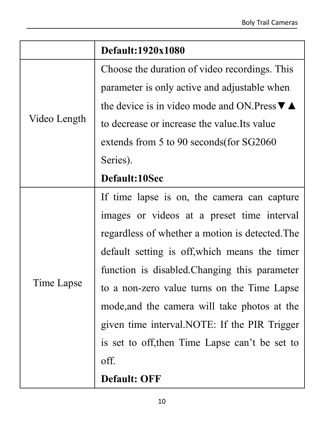|              | Default:1920x1080                                            |  |
|--------------|--------------------------------------------------------------|--|
|              | Choose the duration of video recordings. This                |  |
|              | parameter is only active and adjustable when                 |  |
|              | the device is in video mode and ON. Press $\nabla \triangle$ |  |
| Video Length | to decrease or increase the value. Its value                 |  |
|              | extends from 5 to 90 seconds (for SG2060)                    |  |
|              | Series).                                                     |  |
|              | Default:10Sec                                                |  |
|              | If time lapse is on, the camera can capture                  |  |
|              | images or videos at a preset time interval                   |  |
|              | regardless of whether a motion is detected. The              |  |
|              | default setting is off, which means the timer                |  |
|              | function is disabled. Changing this parameter                |  |
| Time Lapse   | to a non-zero value turns on the Time Lapse                  |  |
|              | mode, and the camera will take photos at the                 |  |
|              | given time interval. NOTE: If the PIR Trigger                |  |
|              | is set to off, then Time Lapse can't be set to               |  |
|              | off.                                                         |  |
|              | <b>Default: OFF</b>                                          |  |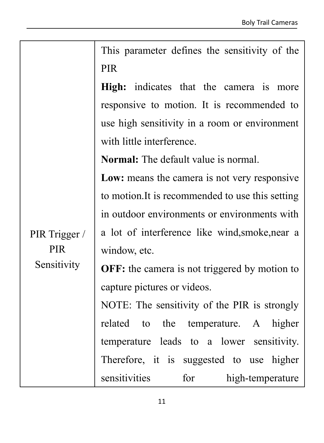|               | This parameter defines the sensitivity of the        |
|---------------|------------------------------------------------------|
|               | <b>PIR</b>                                           |
|               | High: indicates that the camera is more              |
|               | responsive to motion. It is recommended to           |
|               | use high sensitivity in a room or environment        |
|               | with little interference.                            |
|               | <b>Normal:</b> The default value is normal.          |
|               | Low: means the camera is not very responsive         |
|               | to motion. It is recommended to use this setting     |
|               | in outdoor environments or environments with         |
| PIR Trigger / | a lot of interference like wind, smoke, near a       |
| <b>PIR</b>    | window, etc.                                         |
| Sensitivity   | <b>OFF:</b> the camera is not triggered by motion to |
|               | capture pictures or videos.                          |
|               | NOTE: The sensitivity of the PIR is strongly         |
|               | related<br>the temperature. A higher<br>to           |
|               | temperature leads to a lower sensitivity.            |
|               | Therefore, it is suggested to use higher             |
|               | sensitivities<br>for<br>high-temperature             |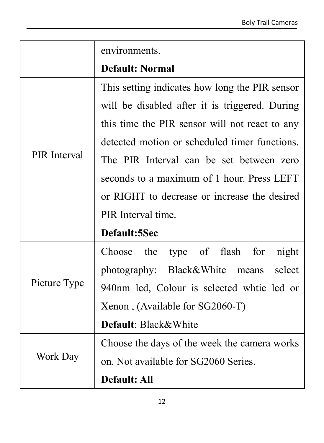|              | environments.                                  |
|--------------|------------------------------------------------|
|              | <b>Default: Normal</b>                         |
|              | This setting indicates how long the PIR sensor |
|              | will be disabled after it is triggered. During |
|              | this time the PIR sensor will not react to any |
|              | detected motion or scheduled timer functions.  |
| PIR Interval | The PIR Interval can be set between zero       |
|              | seconds to a maximum of 1 hour. Press LEFT     |
|              | or RIGHT to decrease or increase the desired   |
|              | PIR Interval time.                             |
|              | Default:5Sec                                   |
|              | type of flash<br>Choose the<br>for<br>night    |
|              | photography: Black&White<br>select<br>means    |
| Picture Type | 940nm led, Colour is selected white led or     |
|              | Xenon, (Available for SG2060-T)                |
|              | Default: Black&White                           |
|              | Choose the days of the week the camera works   |
| Work Day     | on. Not available for SG2060 Series.           |
|              | Default: All                                   |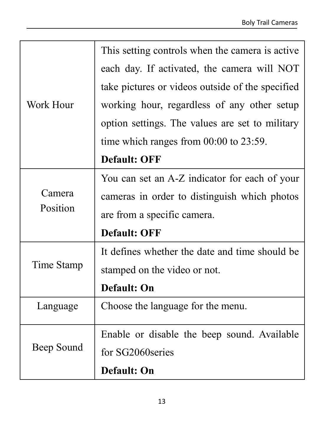|            | This setting controls when the camera is active. |  |
|------------|--------------------------------------------------|--|
|            | each day. If activated, the camera will NOT      |  |
|            | take pictures or videos outside of the specified |  |
| Work Hour  | working hour, regardless of any other setup      |  |
|            | option settings. The values are set to military  |  |
|            | time which ranges from $00:00$ to $23:59$ .      |  |
|            | <b>Default: OFF</b>                              |  |
|            | You can set an A-Z indicator for each of your    |  |
| Camera     | cameras in order to distinguish which photos     |  |
| Position   | are from a specific camera.                      |  |
|            | <b>Default: OFF</b>                              |  |
|            | It defines whether the date and time should be   |  |
| Time Stamp | stamped on the video or not.                     |  |
|            | Default: On                                      |  |
| Language   | Choose the language for the menu.                |  |
|            | Enable or disable the beep sound. Available      |  |
| Beep Sound | for SG2060series                                 |  |
|            | Default: On                                      |  |
|            |                                                  |  |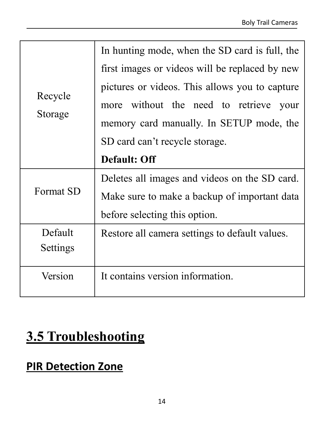|           | In hunting mode, when the SD card is full, the |
|-----------|------------------------------------------------|
|           | first images or videos will be replaced by new |
|           | pictures or videos. This allows you to capture |
| Recycle   | more without the need to retrieve your         |
| Storage   | memory card manually. In SETUP mode, the       |
|           | SD card can't recycle storage.                 |
|           | Default: Off                                   |
|           | Deletes all images and videos on the SD card.  |
| Format SD | Make sure to make a backup of important data   |
|           | before selecting this option.                  |
| Default   | Restore all camera settings to default values. |
| Settings  |                                                |
| Version   | It contains version information.               |
|           |                                                |
|           |                                                |

### **3.5 Troubleshooting**

#### **PIR Detection Zone**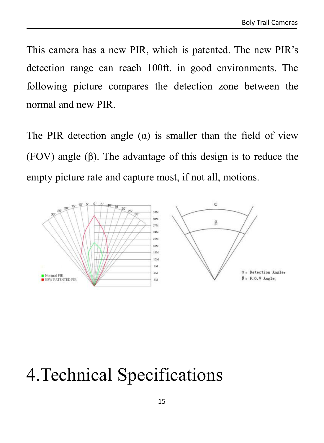This camera has a new PIR, which is patented. The new PIR's detection range can reach 100ft. in good environments. The following picture compares the detection zone between the normal and new PIR.

The PIR detection angle  $(\alpha)$  is smaller than the field of view (FOV) angle (β). The advantage of this design is to reduce the empty picture rate and capture most, if not all, motions.



## <span id="page-16-0"></span>4.Technical Specifications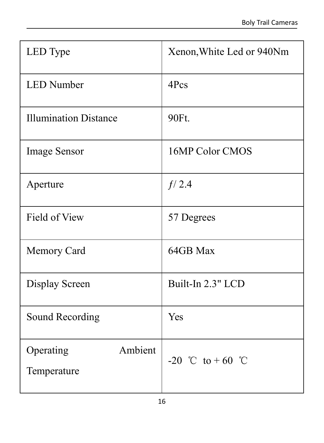| LED Type                            | Xenon, White Led or 940Nm |  |
|-------------------------------------|---------------------------|--|
| LED Number                          | 4Pcs                      |  |
| <b>Illumination Distance</b>        | 90Ft.                     |  |
| Image Sensor                        | 16MP Color CMOS           |  |
| Aperture                            | f/2.4                     |  |
| Field of View                       | 57 Degrees                |  |
| Memory Card                         | 64GB Max                  |  |
| Display Screen                      | Built-In 2.3" LCD         |  |
| Sound Recording                     | Yes                       |  |
| Ambient<br>Operating<br>Temperature | -20 °C to +60 °C          |  |
|                                     |                           |  |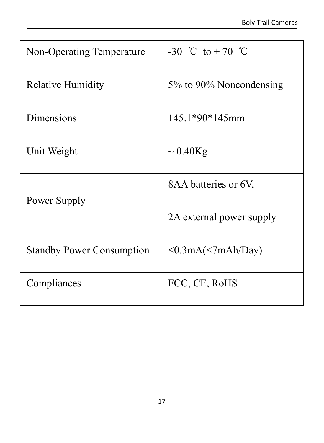| Non-Operating Temperature        | -30 °C to +70 °C         |  |
|----------------------------------|--------------------------|--|
| <b>Relative Humidity</b>         | 5% to 90% Noncondensing  |  |
| Dimensions                       | 145.1*90*145mm           |  |
| Unit Weight                      | $\sim 0.40$ Kg           |  |
| Power Supply                     | 8AA batteries or 6V,     |  |
|                                  | 2A external power supply |  |
| <b>Standby Power Consumption</b> | $\leq 0.3mA(<7mAh/Day)$  |  |
| Compliances                      | FCC, CE, RoHS            |  |
|                                  |                          |  |